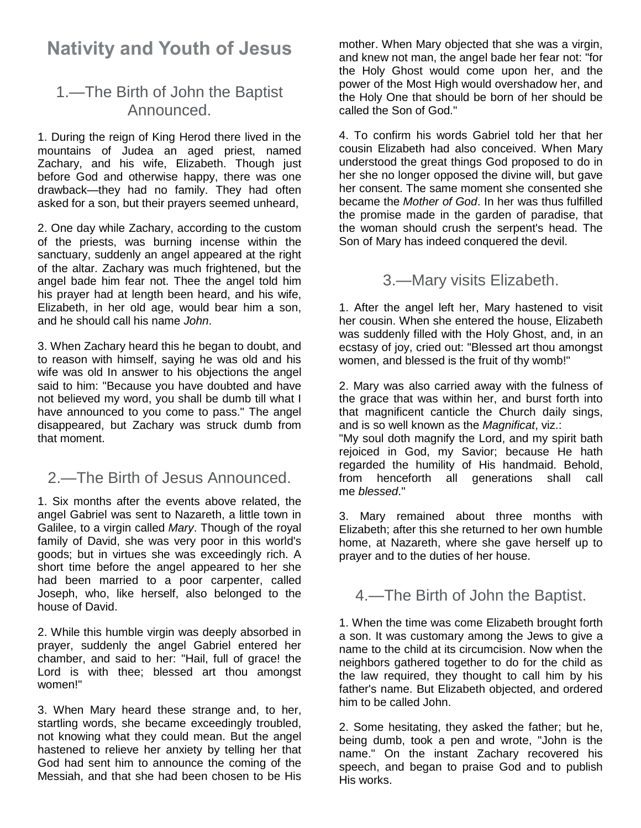# **Nativity and Youth of Jesus**

# 1.—The Birth of John the Baptist Announced.

1. During the reign of King Herod there lived in the mountains of Judea an aged priest, named Zachary, and his wife, Elizabeth. Though just before God and otherwise happy, there was one drawback—they had no family. They had often asked for a son, but their prayers seemed unheard,

2. One day while Zachary, according to the custom of the priests, was burning incense within the sanctuary, suddenly an angel appeared at the right of the altar. Zachary was much frightened, but the angel bade him fear not. Thee the angel told him his prayer had at length been heard, and his wife, Elizabeth, in her old age, would bear him a son, and he should call his name *John*.

3. When Zachary heard this he began to doubt, and to reason with himself, saying he was old and his wife was old In answer to his objections the angel said to him: "Because you have doubted and have not believed my word, you shall be dumb till what I have announced to you come to pass." The angel disappeared, but Zachary was struck dumb from that moment.

### 2.—The Birth of Jesus Announced.

1. Six months after the events above related, the angel Gabriel was sent to Nazareth, a little town in Galilee, to a virgin called *Mary*. Though of the royal family of David, she was very poor in this world's goods; but in virtues she was exceedingly rich. A short time before the angel appeared to her she had been married to a poor carpenter, called Joseph, who, like herself, also belonged to the house of David.

2. While this humble virgin was deeply absorbed in prayer, suddenly the angel Gabriel entered her chamber, and said to her: "Hail, full of grace! the Lord is with thee; blessed art thou amongst women!"

3. When Mary heard these strange and, to her, startling words, she became exceedingly troubled, not knowing what they could mean. But the angel hastened to relieve her anxiety by telling her that God had sent him to announce the coming of the Messiah, and that she had been chosen to be His

mother. When Mary objected that she was a virgin, and knew not man, the angel bade her fear not: "for the Holy Ghost would come upon her, and the power of the Most High would overshadow her, and the Holy One that should be born of her should be called the Son of God."

4. To confirm his words Gabriel told her that her cousin Elizabeth had also conceived. When Mary understood the great things God proposed to do in her she no longer opposed the divine will, but gave her consent. The same moment she consented she became the *Mother of God*. In her was thus fulfilled the promise made in the garden of paradise, that the woman should crush the serpent's head. The Son of Mary has indeed conquered the devil.

3.—Mary visits Elizabeth.

1. After the angel left her, Mary hastened to visit her cousin. When she entered the house, Elizabeth was suddenly filled with the Holy Ghost, and, in an ecstasy of joy, cried out: "Blessed art thou amongst women, and blessed is the fruit of thy womb!"

2. Mary was also carried away with the fulness of the grace that was within her, and burst forth into that magnificent canticle the Church daily sings, and is so well known as the *Magnificat*, viz.:

"My soul doth magnify the Lord, and my spirit bath rejoiced in God, my Savior; because He hath regarded the humility of His handmaid. Behold, from henceforth all generations shall call me *blessed*."

3. Mary remained about three months with Elizabeth; after this she returned to her own humble home, at Nazareth, where she gave herself up to prayer and to the duties of her house.

### 4.—The Birth of John the Baptist.

1. When the time was come Elizabeth brought forth a son. It was customary among the Jews to give a name to the child at its circumcision. Now when the neighbors gathered together to do for the child as the law required, they thought to call him by his father's name. But Elizabeth objected, and ordered him to be called John.

2. Some hesitating, they asked the father; but he, being dumb, took a pen and wrote, "John is the name." On the instant Zachary recovered his speech, and began to praise God and to publish His works.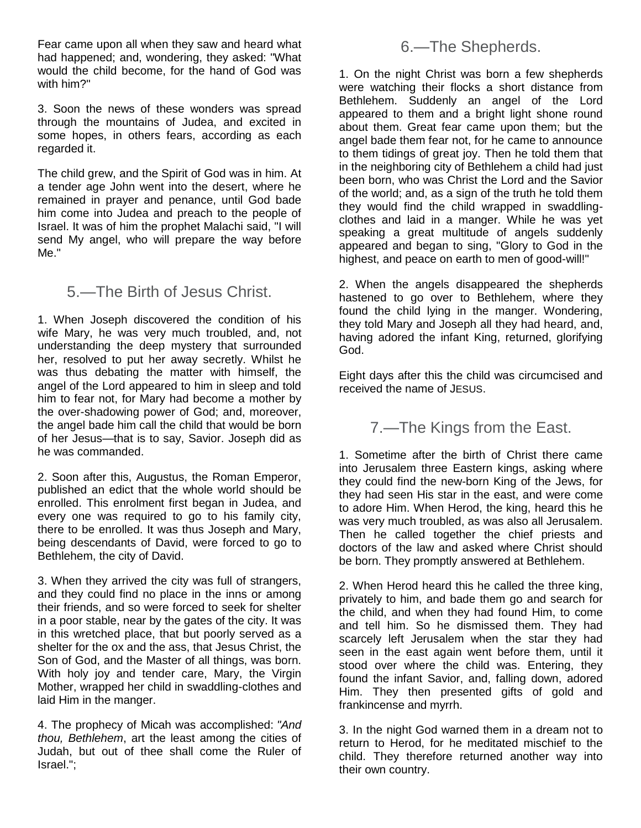Fear came upon all when they saw and heard what had happened; and, wondering, they asked: "What would the child become, for the hand of God was with him?"

3. Soon the news of these wonders was spread through the mountains of Judea, and excited in some hopes, in others fears, according as each regarded it.

The child grew, and the Spirit of God was in him. At a tender age John went into the desert, where he remained in prayer and penance, until God bade him come into Judea and preach to the people of Israel. It was of him the prophet Malachi said, "I will send My angel, who will prepare the way before Me."

### 5.—The Birth of Jesus Christ.

1. When Joseph discovered the condition of his wife Mary, he was very much troubled, and, not understanding the deep mystery that surrounded her, resolved to put her away secretly. Whilst he was thus debating the matter with himself, the angel of the Lord appeared to him in sleep and told him to fear not, for Mary had become a mother by the over-shadowing power of God; and, moreover, the angel bade him call the child that would be born of her Jesus—that is to say, Savior. Joseph did as he was commanded.

2. Soon after this, Augustus, the Roman Emperor, published an edict that the whole world should be enrolled. This enrolment first began in Judea, and every one was required to go to his family city, there to be enrolled. It was thus Joseph and Mary, being descendants of David, were forced to go to Bethlehem, the city of David.

3. When they arrived the city was full of strangers, and they could find no place in the inns or among their friends, and so were forced to seek for shelter in a poor stable, near by the gates of the city. It was in this wretched place, that but poorly served as a shelter for the ox and the ass, that Jesus Christ, the Son of God, and the Master of all things, was born. With holy joy and tender care, Mary, the Virgin Mother, wrapped her child in swaddling-clothes and laid Him in the manger.

4. The prophecy of Micah was accomplished: *"And thou, Bethlehem*, art the least among the cities of Judah, but out of thee shall come the Ruler of Israel.";

#### 6.—The Shepherds.

1. On the night Christ was born a few shepherds were watching their flocks a short distance from Bethlehem. Suddenly an angel of the Lord appeared to them and a bright light shone round about them. Great fear came upon them; but the angel bade them fear not, for he came to announce to them tidings of great joy. Then he told them that in the neighboring city of Bethlehem a child had just been born, who was Christ the Lord and the Savior of the world; and, as a sign of the truth he told them they would find the child wrapped in swaddlingclothes and laid in a manger. While he was yet speaking a great multitude of angels suddenly appeared and began to sing, "Glory to God in the highest, and peace on earth to men of good-will!"

2. When the angels disappeared the shepherds hastened to go over to Bethlehem, where they found the child lying in the manger. Wondering, they told Mary and Joseph all they had heard, and, having adored the infant King, returned, glorifying God.

Eight days after this the child was circumcised and received the name of JESUS.

7.—The Kings from the East.

1. Sometime after the birth of Christ there came into Jerusalem three Eastern kings, asking where they could find the new-born King of the Jews, for they had seen His star in the east, and were come to adore Him. When Herod, the king, heard this he was very much troubled, as was also all Jerusalem. Then he called together the chief priests and doctors of the law and asked where Christ should be born. They promptly answered at Bethlehem.

2. When Herod heard this he called the three king, privately to him, and bade them go and search for the child, and when they had found Him, to come and tell him. So he dismissed them. They had scarcely left Jerusalem when the star they had seen in the east again went before them, until it stood over where the child was. Entering, they found the infant Savior, and, falling down, adored Him. They then presented gifts of gold and frankincense and myrrh.

3. In the night God warned them in a dream not to return to Herod, for he meditated mischief to the child. They therefore returned another way into their own country.